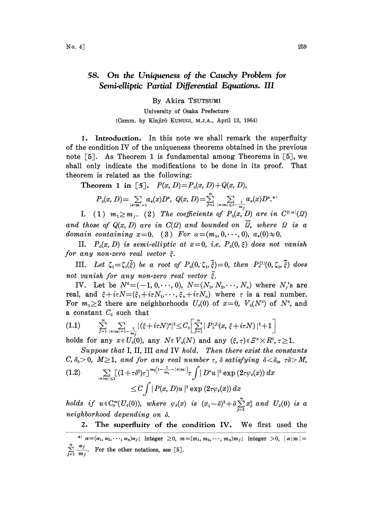## 58. On the Uniqueness of the Cauchy Problem for Semi-elliptic Partial Differential Equations. III

By Akira TSUTSUMI

University of Osaka Prefecture (Comm. by Kinjirô KUNUGI, M.J.A., April 13, 1964)

1. Introduction. In this note we shall remark the superfluity of the condition IV of the uniqueness theorems obtained in the previous note  $\lceil 5 \rceil$ . As Theorem 1 is fundamental among Theorems in  $\lceil 5 \rceil$ , we shall only indicate the modifications to be done in its proof. That theorem is related as the following:

Theorem 1 in [5].  $P(x, D) = P_0(x, D) + Q(x, D)$ ,

$$
P_0(x, D) = \sum_{|\alpha|: m| = 1} a_{\alpha}(x) D^{\alpha}, \ Q(x, D) = \sum_{j=1}^n \sum_{|\alpha|: m| \leq 1 - \frac{1}{m_j}} a_{\alpha}(x) D^{\alpha, *}
$$

I. (1)  $m_1 \geq m_i$ . (2) The coefficients of  $P_0(x, D)$  are in  $C^{2|m|}(\Omega)$ and those of  $Q(x, D)$  are in  $C(\Omega)$  and bounded on  $\overline{\Omega}$ , where  $\Omega$  is a domain containing  $x=0$ . (3) For  $\alpha=(m_1, 0, \dots, 0), \alpha_n(0)\neq 0$ .

II.  $P_0(x, D)$  is semi-elliptic at  $x=0$ , i.e.  $P_0(0, \xi)$  does not vanish for any non-zero real vector  $\xi$ .

III. Let  $\zeta_1 = \zeta_1(\tilde{\xi})$  be a root of  $P_0(0, \zeta_1, \tilde{\xi}) = 0$ , then  $P_0^{(1)}(0, \zeta_1, \tilde{\xi})$  does not vanish for any non-zero real vector  $\tilde{\xi}$ .

IV. Let be  $N^0 = (-1, 0, \dots, 0)$ ,  $N = (N_1, N_2, \dots, N_n)$  where  $N_i$ 's are real, and  $\xi + i\tau N = (\xi_1 + i\tau N_1, \dots, \xi_n + i\tau N_n)$  where  $\tau$  is a real number. For  $m_1 \geq 2$  there are neighborhoods  $U_0(0)$  of  $x=0$ ,  $V_0(N^0)$  of  $N^0$ , and a constant  $C_0$  such that

$$
(1.1) \qquad \sum_{j=1}^{n} \sum_{|\alpha|m|=1-\frac{1}{m_j}|} |\langle \xi + i\tau N \rangle^{a}|^{2} \leq C_{0} \left[ \sum_{j=1}^{n} |P_{0}^{(j)}(x, \xi + i\tau N)|^{2} + 1 \right]
$$

holds for any  $x \in U_0(0)$ , any  $N \in V_0(N)$  and any  $(\xi, \tau) \in E^n \times \mathbb{R}^n$ ,  $\tau \geq 1$ .

Suppose that I, II, III and IV hold. Then there exist the constants  $C, \delta_0>0, M\geq 1$ , and for any real number  $\tau$ ,  $\delta$  satisfying  $\delta<\delta_0$ ,  $\tau\delta>M$ ,

$$
(1.2) \qquad \sum_{|\alpha|m|\leq 1} \left[ (1+\tau \delta^2) \tau \right]^{m_0 \left(1-\frac{1}{m_1}-|\alpha;m|\right)} \tau \int |D^{\alpha}u|^2 \exp\left(2\tau \varphi_s(x)\right) dx
$$
  

$$
\leq C \int |P(x,D)u|^2 \exp\left(2\tau \varphi_s(x)\right) dx
$$

holds if  $u \in C_0^{\infty}(U_s(0))$ , where  $\varphi_s(x)$  is  $(x_1-\delta)^2 + \delta \sum_{i=2}^n x_i^2$  and  $U_s(0)$  is a neighborhood depending on  $\delta$ .

2. The superfluity of the condition IV. We first used the

<sup>\*)</sup>  $x = (a_1, a_2, \dots, a_n)a_j$ ; integer  $\geq 0$ ,  $m = (m_1, m_2, \dots, m_n)m_j$ ; integer  $> 0$ ,  $|a : m| =$  $\sum_{j=1}^{\infty} \frac{1}{m_j}$ . For the other notations, see [5].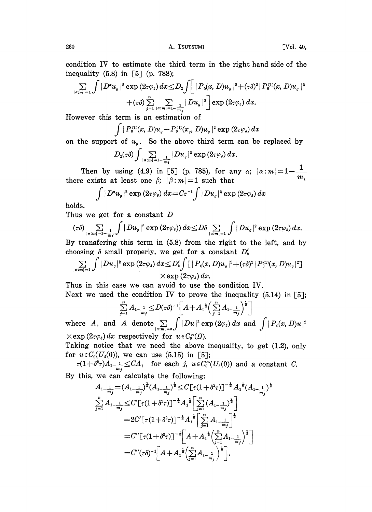$$
\sum_{|\alpha|m|=1}\int |D^au_\sigma|^2\exp{(2\tau\varphi_\delta)}\,dx\leq D_2\int \left[~\left|P_0(x,D)u_\sigma~\right|^2 +(\tau\delta)^2~\right|P_0^{(1)}(x,D)u_\sigma~\right|^2\right.\\\left.+ (\tau\delta)\sum_{j=1}^n\sum_{|\alpha|m|=1-\frac{1}{m_j}}|Du_\sigma|^2~\right]\exp{(2\tau\varphi_\delta)}~dx.
$$

However this term is an estimation of

 $(2\tau \varphi_{\delta}) dx$ 

on the support of  $u_g$ . So the above third term can be replaced by

$$
D_{2}(\tau\delta)\int\sum_{|\alpha|m|=1-\frac{1}{m_{1}}}|Du_{g}|^{2}\exp\left(2\tau\varphi_{\delta}\right)dx.
$$

Then by using (4.9) in [5] (p. 785), for any  $\alpha$ ;  $|\alpha : m| = 1 - \frac{1}{m}$ there exists at least one  $\beta$ ;  $|\beta : m| = 1$  such that

$$
\int |D^{\alpha} u_{g}|^{2} \exp(2\tau \varphi_{s}) dx = C\tau^{-1} \int |D u_{g}|^{2} \exp(2\tau \varphi_{s}) dx
$$

holds.

Thus we get for a constant  $D$ 

$$
(\tau\delta)\sum_{|\alpha|m|=1-\frac{1}{m_1}}\int |Du_{\sigma}|^2\exp(2\tau\varphi_{\delta}))\,dx\leq D\delta\sum_{|\alpha|m|=1}\int |Du_{\sigma}|^2\exp(2\tau\varphi_{\delta})\,dx.
$$

By transfering this term in (5.8) from the right to the left, and by choosing  $\delta$  small properly, we get for a constant  $D'_2$ 

$$
\sum_{|\alpha|m|=1}\int |Du_\sigma|^2\exp{(2\tau\varphi_\delta)}\,dx\!\le\! D_2'\!\int\!\!\mathop{\hskip0pt{1}}\limits |P_0(x,D)u_\sigma|^2\!+\!(\tau\delta)^2\!\mid\! P_0^{\text{(1)}}\!(x,D)u_\sigma|^2\big]\\ \times\exp{(2\tau\varphi_\delta)}\,dx.
$$

Thus in this case we can avoid to use the condition IV. Next we used the condition IV to prove the inequality  $(5.14)$  in [5];

$$
\sum_{j=1}^{n} A_{1-\frac{1}{m_j}} \le D(\tau \delta)^{-1} \left[ A + A_1^{\frac{1}{2}} \left( \sum_{j=1}^{n} A_{1-\frac{1}{m_j}} \right)^{\frac{1}{2}} \right]
$$

where  $A_s$  and  $A$  denote  $\sum_{|\alpha|=s} \int |Du|^2 \exp(2\varphi_s) dx$  and  $\int |P_o(x, D)u|^2$  $\times$ exp  $(2\tau\varphi_{\delta})dx$  respectively for  $u \in C_0^{\infty}(\Omega)$ .

Taking notice that we need the above inequality, to get (1.2), only for  $u \in C_0(U_s(0))$ , we can use (5.15) in [5];

 $\tau(1+\delta^2\tau)A_{1-\frac{1}{m_j}} \leq CA_1$  for each j,  $u \in C_0^{\infty}(U_{\delta}(0))$  and a constant C. By this, we can calculate the following:

$$
A_{1-\frac{1}{m_j}} = (A_{1-\frac{1}{m_j}})^{\frac{1}{2}} (A_{1-\frac{1}{m_j}})^{\frac{1}{2}} \leq C \left[ \tau (1 + \delta^2 \tau) \right]^{-\frac{1}{2}} A_1^{\frac{1}{2}} (A_{1-\frac{1}{m_j}})^{\frac{1}{2}}
$$
  

$$
\sum_{j=1}^{n} A_{1-\frac{1}{m_j}} \leq C' \left[ \tau (1 + \delta^2 \tau) \right]^{-\frac{1}{2}} A_1^{\frac{1}{2}} \left[ \sum_{j=1}^{n} (A_{1-\frac{1}{m_j}})^{\frac{1}{2}} \right]
$$

$$
= 2C' \left[ \tau (1 + \delta^2 \tau) \right]^{-\frac{1}{2}} A_1^{\frac{1}{2}} \left[ \sum_{j=1}^{n} A_{1-\frac{1}{m_j}} \right]^{\frac{1}{2}}
$$

$$
= C'' \left[ \tau (1 + \delta^2 \tau) \right]^{-\frac{1}{2}} \left[ A + A_1^{\frac{1}{2}} \left( \sum_{j=1}^{n} A_{1-\frac{1}{m_j}} \right)^{\frac{1}{2}} \right]
$$

$$
= C'' (\tau \delta)^{-1} \left[ A + A_1^{\frac{1}{2}} \left( \sum_{j=1}^{n} A_{1-\frac{1}{m_j}} \right)^{\frac{1}{2}} \right].
$$